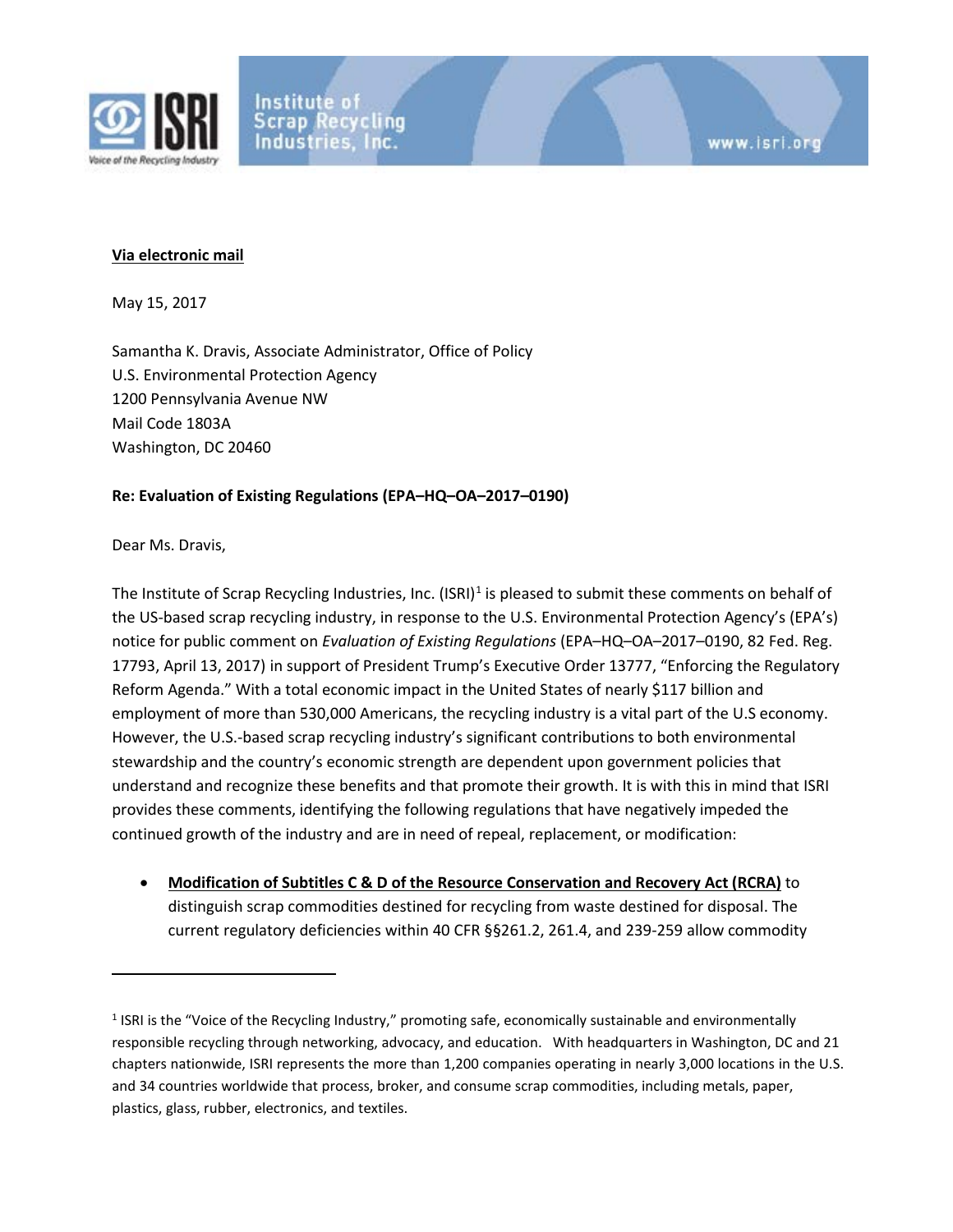

## **Via electronic mail**

May 15, 2017

Samantha K. Dravis, Associate Administrator, Office of Policy U.S. Environmental Protection Agency 1200 Pennsylvania Avenue NW Mail Code 1803A Washington, DC 20460

## **Re: Evaluation of Existing Regulations (EPA–HQ–OA–2017–0190)**

Dear Ms. Dravis,

 $\overline{a}$ 

The Institute of Scrap Recycling Industries, Inc.  $(ISRI)^1$  $(ISRI)^1$  is pleased to submit these comments on behalf of the US-based scrap recycling industry, in response to the U.S. Environmental Protection Agency's (EPA's) notice for public comment on *Evaluation of Existing Regulations* (EPA–HQ–OA–2017–0190, 82 Fed. Reg. 17793, April 13, 2017) in support of President Trump's Executive Order 13777, "Enforcing the Regulatory Reform Agenda." With a total economic impact in the United States of nearly \$117 billion and employment of more than 530,000 Americans, the recycling industry is a vital part of the U.S economy. However, the U.S.-based scrap recycling industry's significant contributions to both environmental stewardship and the country's economic strength are dependent upon government policies that understand and recognize these benefits and that promote their growth. It is with this in mind that ISRI provides these comments, identifying the following regulations that have negatively impeded the continued growth of the industry and are in need of repeal, replacement, or modification:

• **Modification of Subtitles C & D of the Resource Conservation and Recovery Act (RCRA)** to distinguish scrap commodities destined for recycling from waste destined for disposal. The current regulatory deficiencies within 40 CFR §§261.2, 261.4, and 239-259 allow commodity

<span id="page-0-0"></span><sup>1</sup> ISRI is the "Voice of the Recycling Industry," promoting safe, economically sustainable and environmentally responsible recycling through networking, advocacy, and education. With headquarters in Washington, DC and 21 chapters nationwide, ISRI represents the more than 1,200 companies operating in nearly 3,000 locations in the U.S. and 34 countries worldwide that process, broker, and consume scrap commodities, including metals, paper, plastics, glass, rubber, electronics, and textiles.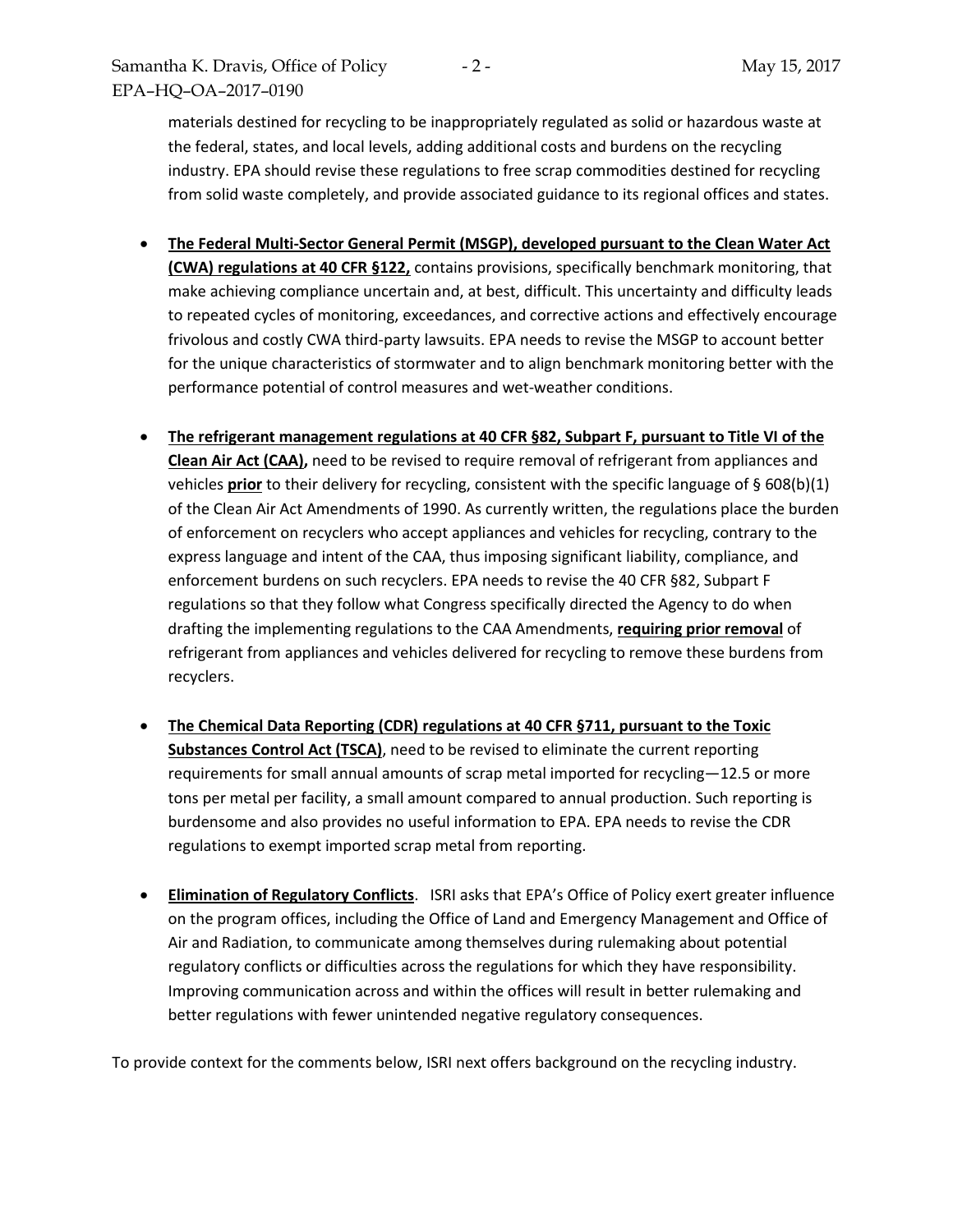materials destined for recycling to be inappropriately regulated as solid or hazardous waste at the federal, states, and local levels, adding additional costs and burdens on the recycling industry. EPA should revise these regulations to free scrap commodities destined for recycling from solid waste completely, and provide associated guidance to its regional offices and states.

- **The Federal Multi-Sector General Permit (MSGP), developed pursuant to the Clean Water Act (CWA) regulations at 40 CFR §122,** contains provisions, specifically benchmark monitoring, that make achieving compliance uncertain and, at best, difficult. This uncertainty and difficulty leads to repeated cycles of monitoring, exceedances, and corrective actions and effectively encourage frivolous and costly CWA third-party lawsuits. EPA needs to revise the MSGP to account better for the unique characteristics of stormwater and to align benchmark monitoring better with the performance potential of control measures and wet-weather conditions.
- **The refrigerant management regulations at 40 CFR §82, Subpart F, pursuant to Title VI of the Clean Air Act (CAA),** need to be revised to require removal of refrigerant from appliances and vehicles **prior** to their delivery for recycling, consistent with the specific language of § 608(b)(1) of the Clean Air Act Amendments of 1990. As currently written, the regulations place the burden of enforcement on recyclers who accept appliances and vehicles for recycling, contrary to the express language and intent of the CAA, thus imposing significant liability, compliance, and enforcement burdens on such recyclers. EPA needs to revise the 40 CFR §82, Subpart F regulations so that they follow what Congress specifically directed the Agency to do when drafting the implementing regulations to the CAA Amendments, **requiring prior removal** of refrigerant from appliances and vehicles delivered for recycling to remove these burdens from recyclers.
- **The Chemical Data Reporting (CDR) regulations at 40 CFR §711, pursuant to the Toxic Substances Control Act (TSCA)**, need to be revised to eliminate the current reporting requirements for small annual amounts of scrap metal imported for recycling—12.5 or more tons per metal per facility, a small amount compared to annual production. Such reporting is burdensome and also provides no useful information to EPA. EPA needs to revise the CDR regulations to exempt imported scrap metal from reporting.
- **Elimination of Regulatory Conflicts**. ISRI asks that EPA's Office of Policy exert greater influence on the program offices, including the Office of Land and Emergency Management and Office of Air and Radiation, to communicate among themselves during rulemaking about potential regulatory conflicts or difficulties across the regulations for which they have responsibility. Improving communication across and within the offices will result in better rulemaking and better regulations with fewer unintended negative regulatory consequences.

To provide context for the comments below, ISRI next offers background on the recycling industry.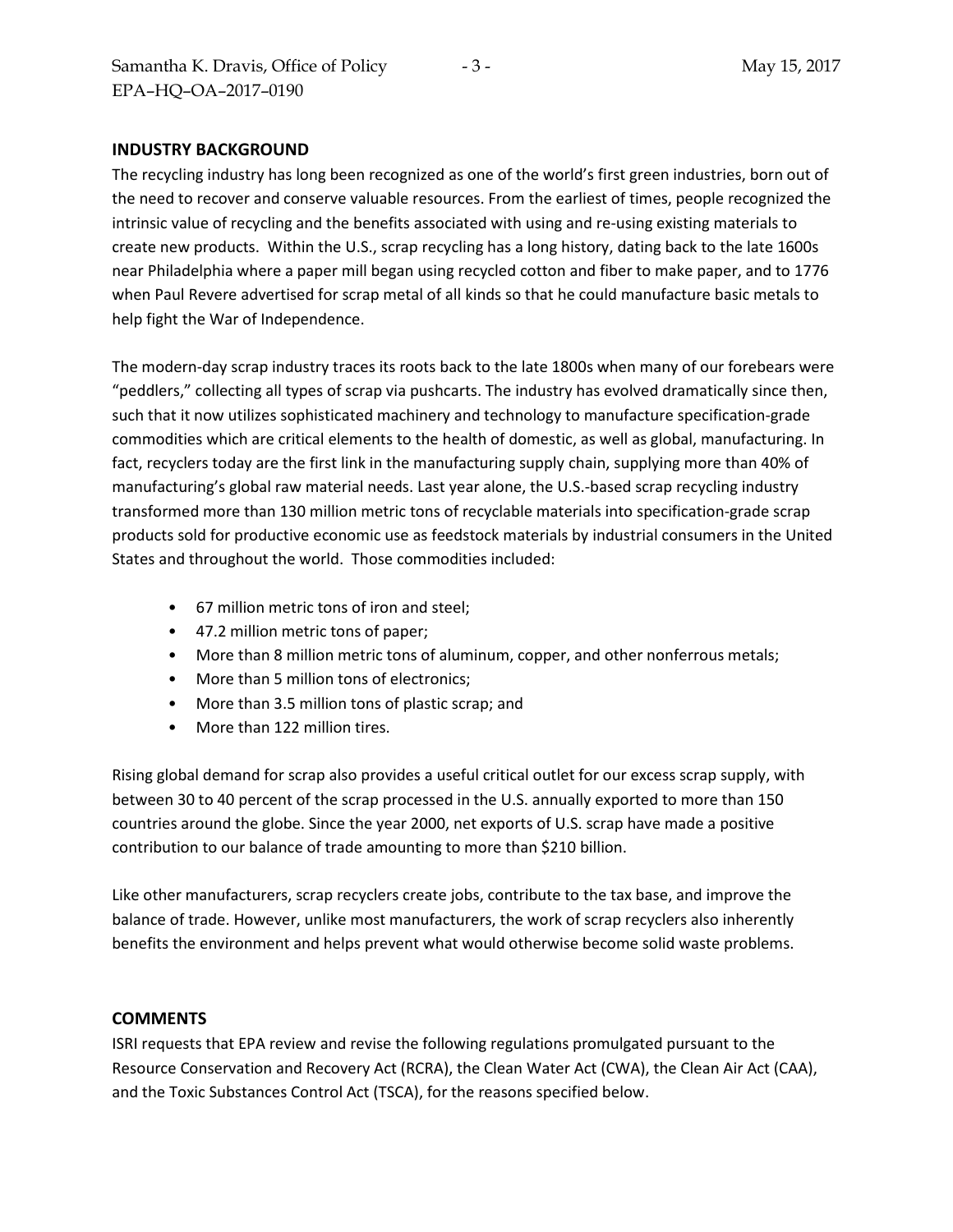#### **INDUSTRY BACKGROUND**

The recycling industry has long been recognized as one of the world's first green industries, born out of the need to recover and conserve valuable resources. From the earliest of times, people recognized the intrinsic value of recycling and the benefits associated with using and re-using existing materials to create new products. Within the U.S., scrap recycling has a long history, dating back to the late 1600s near Philadelphia where a paper mill began using recycled cotton and fiber to make paper, and to 1776 when Paul Revere advertised for scrap metal of all kinds so that he could manufacture basic metals to help fight the War of Independence.

The modern-day scrap industry traces its roots back to the late 1800s when many of our forebears were "peddlers," collecting all types of scrap via pushcarts. The industry has evolved dramatically since then, such that it now utilizes sophisticated machinery and technology to manufacture specification-grade commodities which are critical elements to the health of domestic, as well as global, manufacturing. In fact, recyclers today are the first link in the manufacturing supply chain, supplying more than 40% of manufacturing's global raw material needs. Last year alone, the U.S.-based scrap recycling industry transformed more than 130 million metric tons of recyclable materials into specification-grade scrap products sold for productive economic use as feedstock materials by industrial consumers in the United States and throughout the world. Those commodities included:

- 67 million metric tons of iron and steel;
- 47.2 million metric tons of paper;
- More than 8 million metric tons of aluminum, copper, and other nonferrous metals;
- More than 5 million tons of electronics;
- More than 3.5 million tons of plastic scrap; and
- More than 122 million tires.

Rising global demand for scrap also provides a useful critical outlet for our excess scrap supply, with between 30 to 40 percent of the scrap processed in the U.S. annually exported to more than 150 countries around the globe. Since the year 2000, net exports of U.S. scrap have made a positive contribution to our balance of trade amounting to more than \$210 billion.

Like other manufacturers, scrap recyclers create jobs, contribute to the tax base, and improve the balance of trade. However, unlike most manufacturers, the work of scrap recyclers also inherently benefits the environment and helps prevent what would otherwise become solid waste problems.

#### **COMMENTS**

ISRI requests that EPA review and revise the following regulations promulgated pursuant to the Resource Conservation and Recovery Act (RCRA), the Clean Water Act (CWA), the Clean Air Act (CAA), and the Toxic Substances Control Act (TSCA), for the reasons specified below.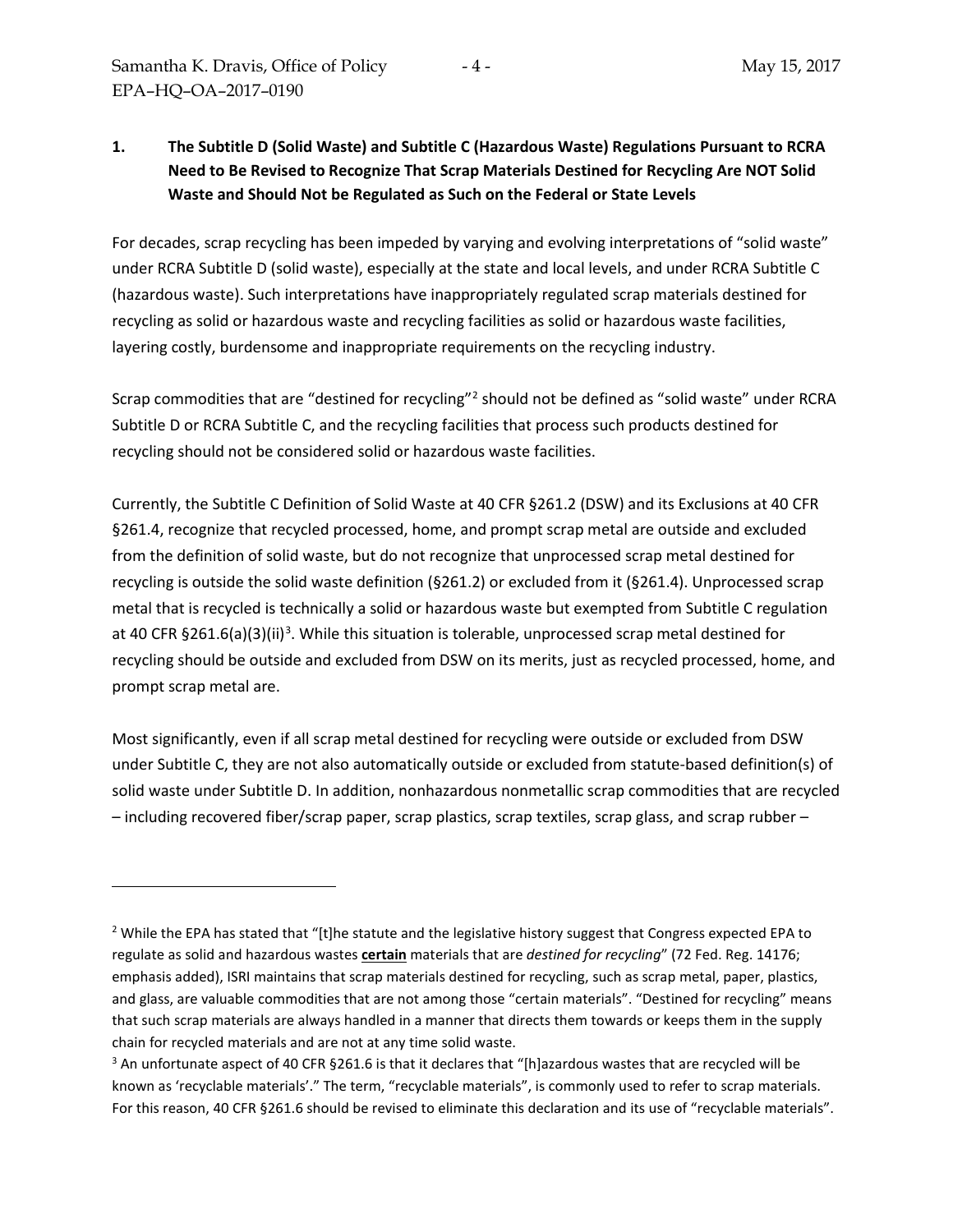$\overline{a}$ 

# **1. The Subtitle D (Solid Waste) and Subtitle C (Hazardous Waste) Regulations Pursuant to RCRA Need to Be Revised to Recognize That Scrap Materials Destined for Recycling Are NOT Solid Waste and Should Not be Regulated as Such on the Federal or State Levels**

For decades, scrap recycling has been impeded by varying and evolving interpretations of "solid waste" under RCRA Subtitle D (solid waste), especially at the state and local levels, and under RCRA Subtitle C (hazardous waste). Such interpretations have inappropriately regulated scrap materials destined for recycling as solid or hazardous waste and recycling facilities as solid or hazardous waste facilities, layering costly, burdensome and inappropriate requirements on the recycling industry.

Scrap commodities that are "destined for recycling"[2](#page-3-0) should not be defined as "solid waste" under RCRA Subtitle D or RCRA Subtitle C, and the recycling facilities that process such products destined for recycling should not be considered solid or hazardous waste facilities.

Currently, the Subtitle C Definition of Solid Waste at 40 CFR §261.2 (DSW) and its Exclusions at 40 CFR §261.4, recognize that recycled processed, home, and prompt scrap metal are outside and excluded from the definition of solid waste, but do not recognize that unprocessed scrap metal destined for recycling is outside the solid waste definition (§261.2) or excluded from it (§261.4). Unprocessed scrap metal that is recycled is technically a solid or hazardous waste but exempted from Subtitle C regulation at 40 CFR §261.6(a)([3](#page-3-1))(ii)<sup>3</sup>. While this situation is tolerable, unprocessed scrap metal destined for recycling should be outside and excluded from DSW on its merits, just as recycled processed, home, and prompt scrap metal are.

Most significantly, even if all scrap metal destined for recycling were outside or excluded from DSW under Subtitle C, they are not also automatically outside or excluded from statute-based definition(s) of solid waste under Subtitle D. In addition, nonhazardous nonmetallic scrap commodities that are recycled – including recovered fiber/scrap paper, scrap plastics, scrap textiles, scrap glass, and scrap rubber –

<span id="page-3-0"></span><sup>&</sup>lt;sup>2</sup> While the EPA has stated that "[t]he statute and the legislative history suggest that Congress expected EPA to regulate as solid and hazardous wastes **certain** materials that are *destined for recycling*" (72 Fed. Reg. 14176; emphasis added), ISRI maintains that scrap materials destined for recycling, such as scrap metal, paper, plastics, and glass, are valuable commodities that are not among those "certain materials". "Destined for recycling" means that such scrap materials are always handled in a manner that directs them towards or keeps them in the supply chain for recycled materials and are not at any time solid waste.

<span id="page-3-1"></span><sup>&</sup>lt;sup>3</sup> An unfortunate aspect of 40 CFR §261.6 is that it declares that "[h]azardous wastes that are recycled will be known as 'recyclable materials'." The term, "recyclable materials", is commonly used to refer to scrap materials. For this reason, 40 CFR §261.6 should be revised to eliminate this declaration and its use of "recyclable materials".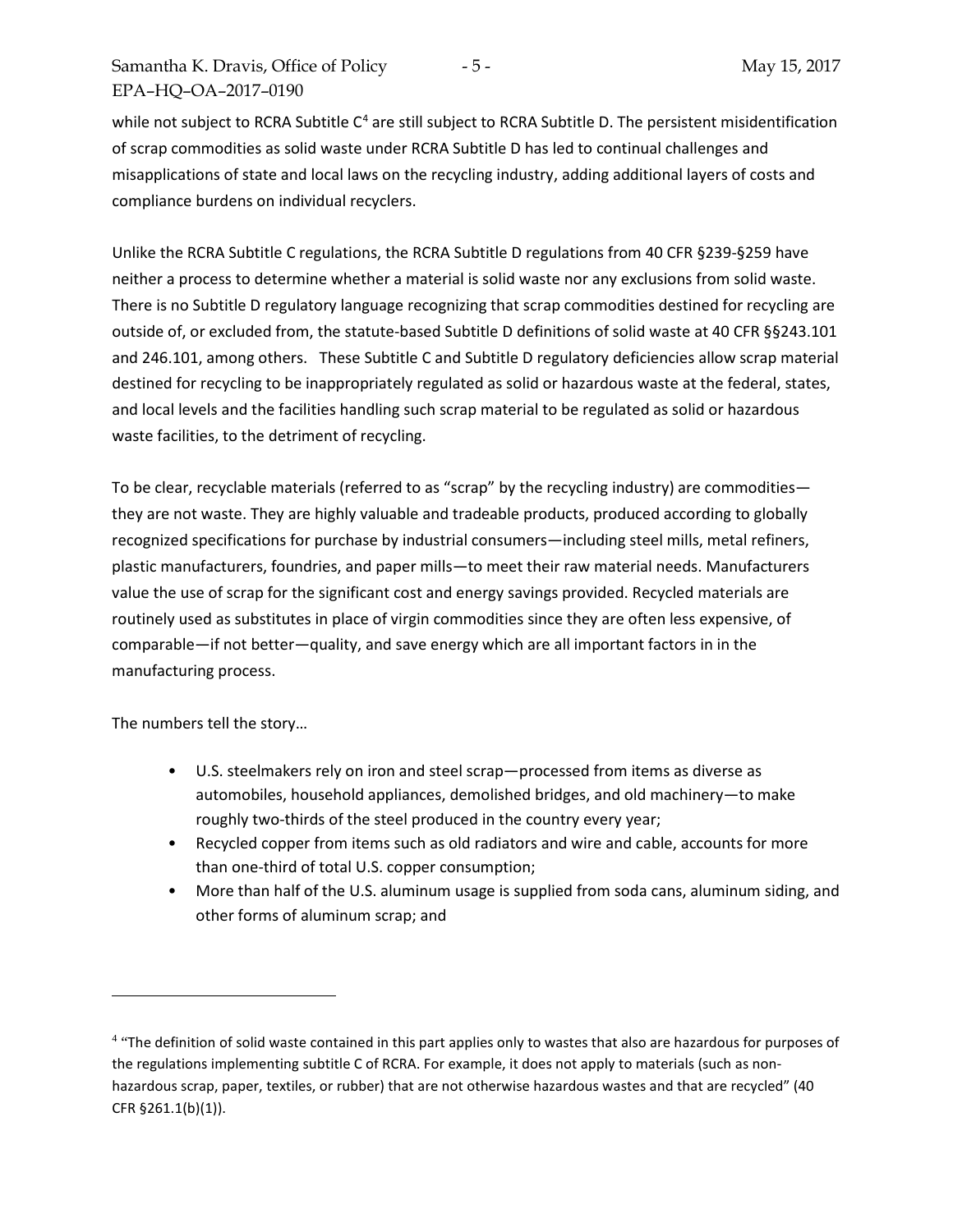while not subject to RCRA Subtitle C<sup>[4](#page-4-0)</sup> are still subject to RCRA Subtitle D. The persistent misidentification of scrap commodities as solid waste under RCRA Subtitle D has led to continual challenges and misapplications of state and local laws on the recycling industry, adding additional layers of costs and compliance burdens on individual recyclers.

Unlike the RCRA Subtitle C regulations, the RCRA Subtitle D regulations from 40 CFR §239-§259 have neither a process to determine whether a material is solid waste nor any exclusions from solid waste. There is no Subtitle D regulatory language recognizing that scrap commodities destined for recycling are outside of, or excluded from, the statute-based Subtitle D definitions of solid waste at 40 CFR §§243.101 and 246.101, among others. These Subtitle C and Subtitle D regulatory deficiencies allow scrap material destined for recycling to be inappropriately regulated as solid or hazardous waste at the federal, states, and local levels and the facilities handling such scrap material to be regulated as solid or hazardous waste facilities, to the detriment of recycling.

To be clear, recyclable materials (referred to as "scrap" by the recycling industry) are commodities they are not waste. They are highly valuable and tradeable products, produced according to globally recognized specifications for purchase by industrial consumers—including steel mills, metal refiners, plastic manufacturers, foundries, and paper mills—to meet their raw material needs. Manufacturers value the use of scrap for the significant cost and energy savings provided. Recycled materials are routinely used as substitutes in place of virgin commodities since they are often less expensive, of comparable—if not better—quality, and save energy which are all important factors in in the manufacturing process.

The numbers tell the story…

 $\overline{a}$ 

- U.S. steelmakers rely on iron and steel scrap—processed from items as diverse as automobiles, household appliances, demolished bridges, and old machinery—to make roughly two-thirds of the steel produced in the country every year;
- Recycled copper from items such as old radiators and wire and cable, accounts for more than one-third of total U.S. copper consumption;
- More than half of the U.S. aluminum usage is supplied from soda cans, aluminum siding, and other forms of aluminum scrap; and

<span id="page-4-0"></span><sup>&</sup>lt;sup>4</sup> "The definition of solid waste contained in this part applies only to wastes that also are hazardous for purposes of the regulations implementing subtitle C of RCRA. For example, it does not apply to materials (such as nonhazardous scrap, paper, textiles, or rubber) that are not otherwise hazardous wastes and that are recycled" (40 CFR §261.1(b)(1)).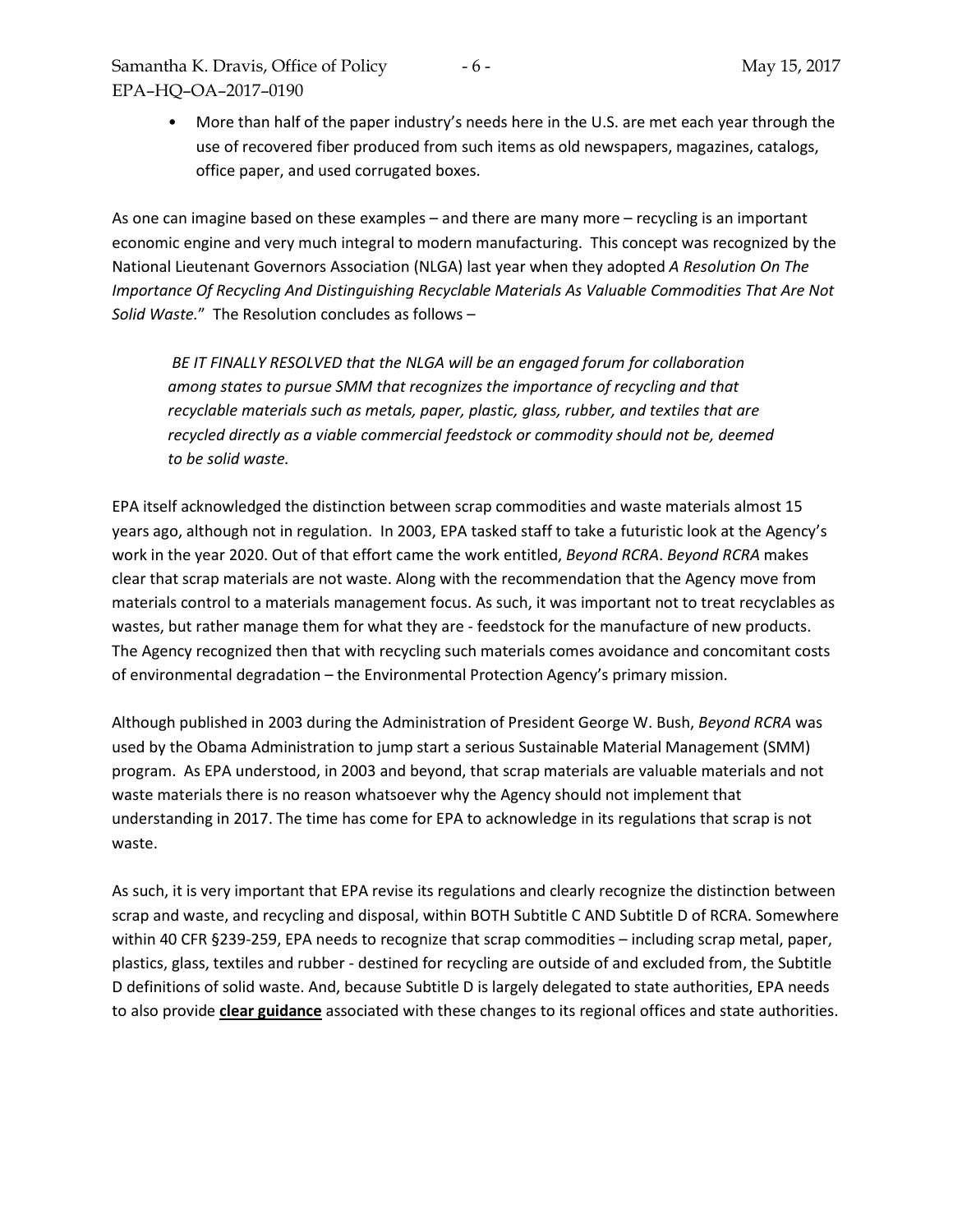• More than half of the paper industry's needs here in the U.S. are met each year through the use of recovered fiber produced from such items as old newspapers, magazines, catalogs, office paper, and used corrugated boxes.

As one can imagine based on these examples – and there are many more – recycling is an important economic engine and very much integral to modern manufacturing. This concept was recognized by the National Lieutenant Governors Association (NLGA) last year when they adopted *A Resolution On The Importance Of Recycling And Distinguishing Recyclable Materials As Valuable Commodities That Are Not Solid Waste.*" The Resolution concludes as follows –

*BE IT FINALLY RESOLVED that the NLGA will be an engaged forum for collaboration among states to pursue SMM that recognizes the importance of recycling and that recyclable materials such as metals, paper, plastic, glass, rubber, and textiles that are recycled directly as a viable commercial feedstock or commodity should not be, deemed to be solid waste.*

EPA itself acknowledged the distinction between scrap commodities and waste materials almost 15 years ago, although not in regulation. In 2003, EPA tasked staff to take a futuristic look at the Agency's work in the year 2020. Out of that effort came the work entitled, *Beyond RCRA*. *Beyond RCRA* makes clear that scrap materials are not waste. Along with the recommendation that the Agency move from materials control to a materials management focus. As such, it was important not to treat recyclables as wastes, but rather manage them for what they are - feedstock for the manufacture of new products. The Agency recognized then that with recycling such materials comes avoidance and concomitant costs of environmental degradation – the Environmental Protection Agency's primary mission.

Although published in 2003 during the Administration of President George W. Bush, *Beyond RCRA* was used by the Obama Administration to jump start a serious Sustainable Material Management (SMM) program. As EPA understood, in 2003 and beyond, that scrap materials are valuable materials and not waste materials there is no reason whatsoever why the Agency should not implement that understanding in 2017. The time has come for EPA to acknowledge in its regulations that scrap is not waste.

As such, it is very important that EPA revise its regulations and clearly recognize the distinction between scrap and waste, and recycling and disposal, within BOTH Subtitle C AND Subtitle D of RCRA. Somewhere within 40 CFR §239-259, EPA needs to recognize that scrap commodities – including scrap metal, paper, plastics, glass, textiles and rubber - destined for recycling are outside of and excluded from, the Subtitle D definitions of solid waste. And, because Subtitle D is largely delegated to state authorities, EPA needs to also provide **clear guidance** associated with these changes to its regional offices and state authorities.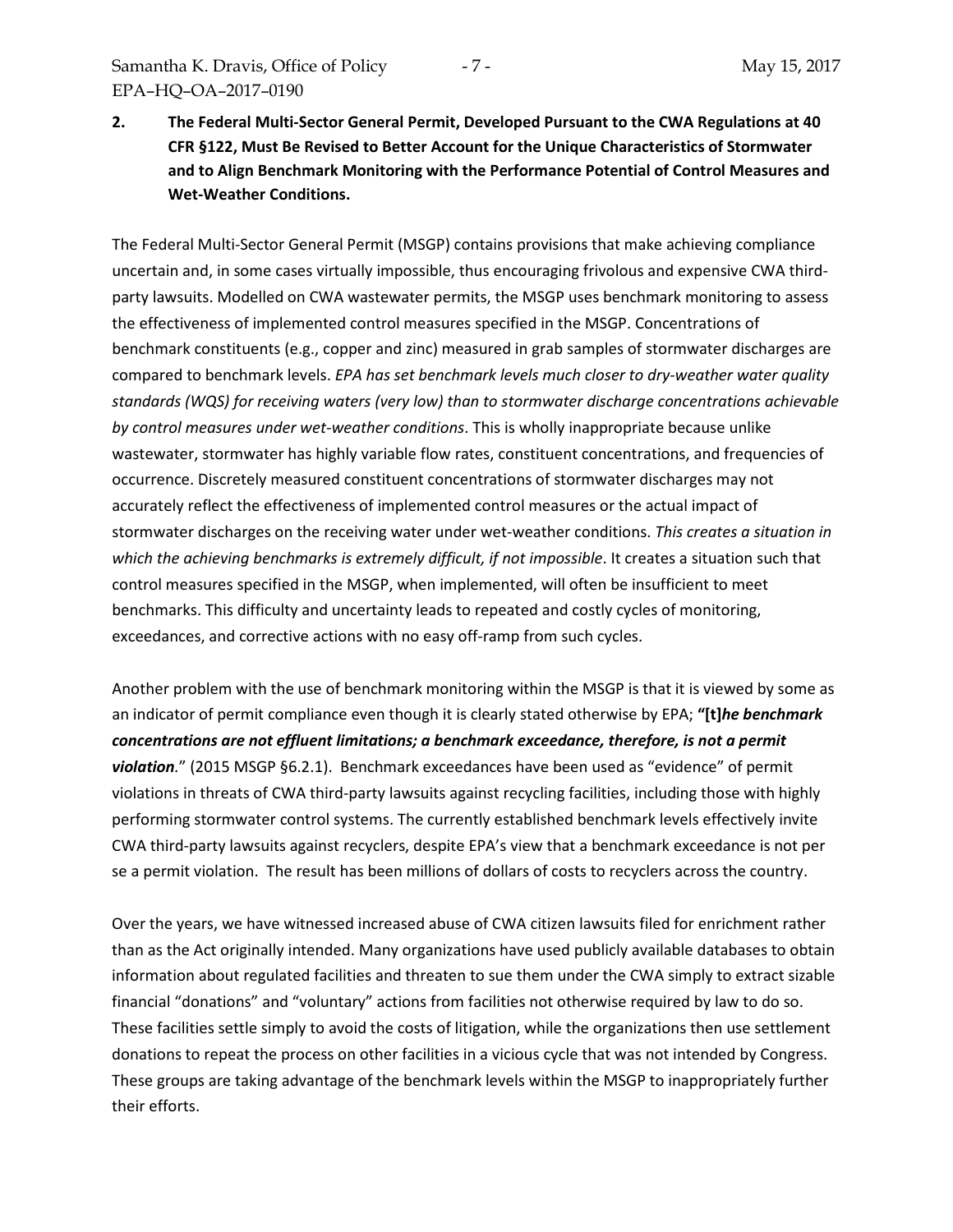**2. The Federal Multi-Sector General Permit, Developed Pursuant to the CWA Regulations at 40 CFR §122, Must Be Revised to Better Account for the Unique Characteristics of Stormwater and to Align Benchmark Monitoring with the Performance Potential of Control Measures and Wet-Weather Conditions.**

The Federal Multi-Sector General Permit (MSGP) contains provisions that make achieving compliance uncertain and, in some cases virtually impossible, thus encouraging frivolous and expensive CWA thirdparty lawsuits. Modelled on CWA wastewater permits, the MSGP uses benchmark monitoring to assess the effectiveness of implemented control measures specified in the MSGP. Concentrations of benchmark constituents (e.g., copper and zinc) measured in grab samples of stormwater discharges are compared to benchmark levels. *EPA has set benchmark levels much closer to dry-weather water quality standards (WQS) for receiving waters (very low) than to stormwater discharge concentrations achievable by control measures under wet-weather conditions*. This is wholly inappropriate because unlike wastewater, stormwater has highly variable flow rates, constituent concentrations, and frequencies of occurrence. Discretely measured constituent concentrations of stormwater discharges may not accurately reflect the effectiveness of implemented control measures or the actual impact of stormwater discharges on the receiving water under wet-weather conditions. *This creates a situation in which the achieving benchmarks is extremely difficult, if not impossible*. It creates a situation such that control measures specified in the MSGP, when implemented, will often be insufficient to meet benchmarks. This difficulty and uncertainty leads to repeated and costly cycles of monitoring, exceedances, and corrective actions with no easy off-ramp from such cycles.

Another problem with the use of benchmark monitoring within the MSGP is that it is viewed by some as an indicator of permit compliance even though it is clearly stated otherwise by EPA; **"[t]***he benchmark concentrations are not effluent limitations; a benchmark exceedance, therefore, is not a permit violation.*" (2015 MSGP §6.2.1). Benchmark exceedances have been used as "evidence" of permit violations in threats of CWA third-party lawsuits against recycling facilities, including those with highly performing stormwater control systems. The currently established benchmark levels effectively invite CWA third-party lawsuits against recyclers, despite EPA's view that a benchmark exceedance is not per se a permit violation. The result has been millions of dollars of costs to recyclers across the country.

Over the years, we have witnessed increased abuse of CWA citizen lawsuits filed for enrichment rather than as the Act originally intended. Many organizations have used publicly available databases to obtain information about regulated facilities and threaten to sue them under the CWA simply to extract sizable financial "donations" and "voluntary" actions from facilities not otherwise required by law to do so. These facilities settle simply to avoid the costs of litigation, while the organizations then use settlement donations to repeat the process on other facilities in a vicious cycle that was not intended by Congress. These groups are taking advantage of the benchmark levels within the MSGP to inappropriately further their efforts.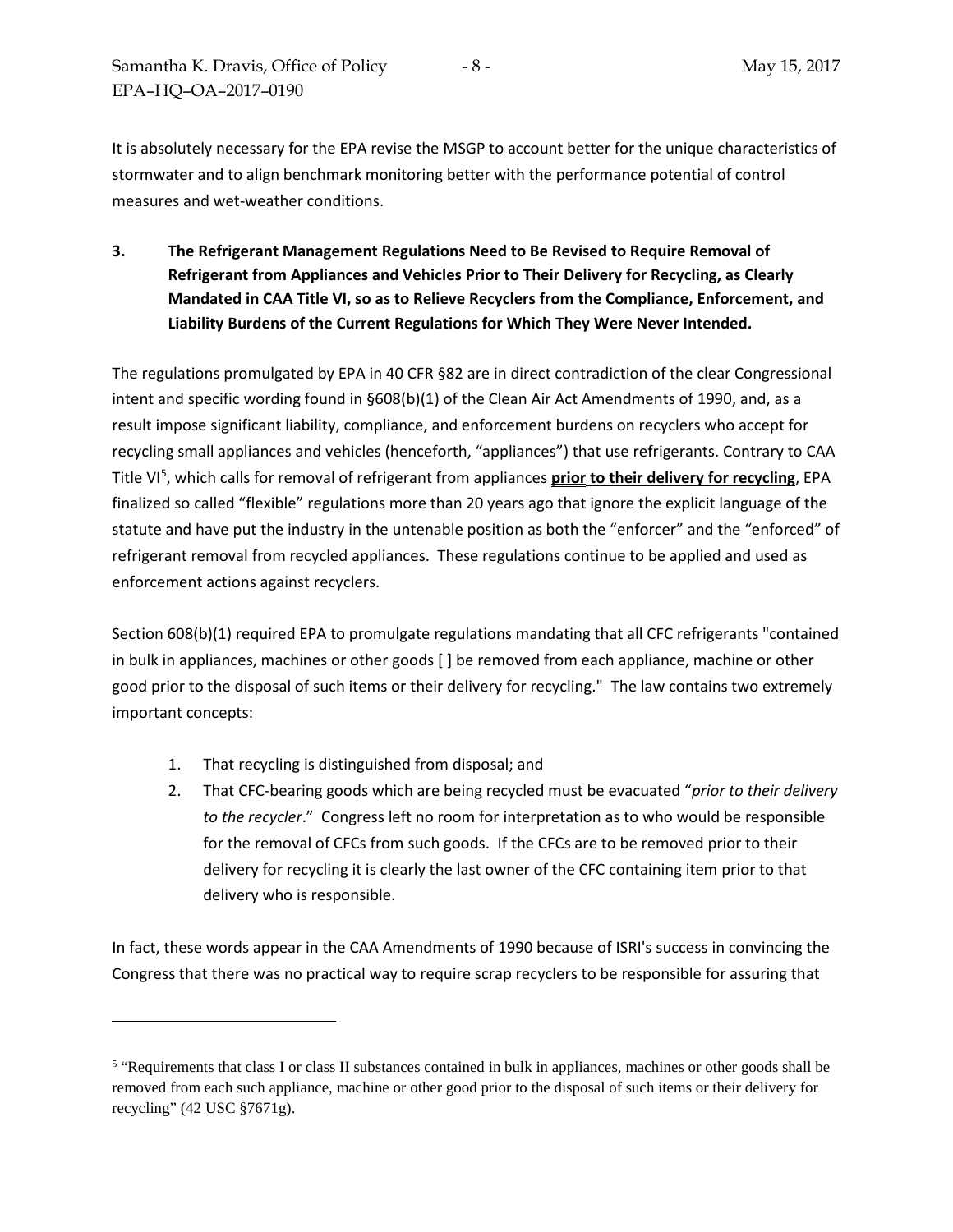It is absolutely necessary for the EPA revise the MSGP to account better for the unique characteristics of stormwater and to align benchmark monitoring better with the performance potential of control measures and wet-weather conditions.

**3. The Refrigerant Management Regulations Need to Be Revised to Require Removal of Refrigerant from Appliances and Vehicles Prior to Their Delivery for Recycling, as Clearly Mandated in CAA Title VI, so as to Relieve Recyclers from the Compliance, Enforcement, and Liability Burdens of the Current Regulations for Which They Were Never Intended.**

The regulations promulgated by EPA in 40 CFR §82 are in direct contradiction of the clear Congressional intent and specific wording found in §608(b)(1) of the Clean Air Act Amendments of 1990, and, as a result impose significant liability, compliance, and enforcement burdens on recyclers who accept for recycling small appliances and vehicles (henceforth, "appliances") that use refrigerants. Contrary to CAA Title VI[5](#page-7-0) , which calls for removal of refrigerant from appliances **prior to their delivery for recycling**, EPA finalized so called "flexible" regulations more than 20 years ago that ignore the explicit language of the statute and have put the industry in the untenable position as both the "enforcer" and the "enforced" of refrigerant removal from recycled appliances. These regulations continue to be applied and used as enforcement actions against recyclers.

Section 608(b)(1) required EPA to promulgate regulations mandating that all CFC refrigerants "contained in bulk in appliances, machines or other goods [ ] be removed from each appliance, machine or other good prior to the disposal of such items or their delivery for recycling." The law contains two extremely important concepts:

1. That recycling is distinguished from disposal; and

 $\overline{a}$ 

2. That CFC-bearing goods which are being recycled must be evacuated "*prior to their delivery to the recycler*." Congress left no room for interpretation as to who would be responsible for the removal of CFCs from such goods. If the CFCs are to be removed prior to their delivery for recycling it is clearly the last owner of the CFC containing item prior to that delivery who is responsible.

In fact, these words appear in the CAA Amendments of 1990 because of ISRI's success in convincing the Congress that there was no practical way to require scrap recyclers to be responsible for assuring that

<span id="page-7-0"></span><sup>5</sup> "Requirements that class I or class II substances contained in bulk in appliances, machines or other goods shall be removed from each such appliance, machine or other good prior to the disposal of such items or their delivery for recycling" (42 USC §7671g).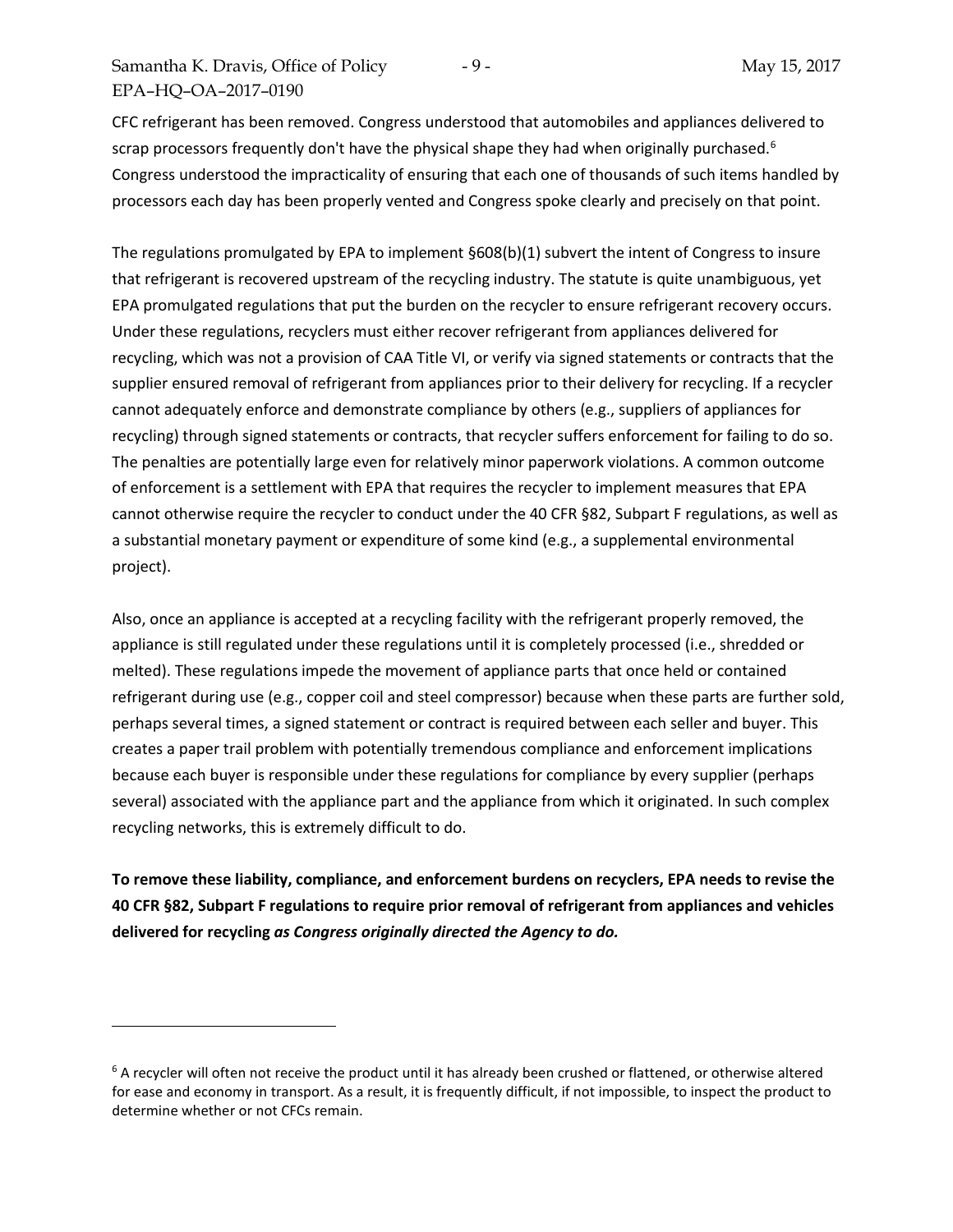$\overline{a}$ 

CFC refrigerant has been removed. Congress understood that automobiles and appliances delivered to scrap processors frequently don't have the physical shape they had when originally purchased.<sup>[6](#page-8-0)</sup> Congress understood the impracticality of ensuring that each one of thousands of such items handled by processors each day has been properly vented and Congress spoke clearly and precisely on that point.

The regulations promulgated by EPA to implement §608(b)(1) subvert the intent of Congress to insure that refrigerant is recovered upstream of the recycling industry. The statute is quite unambiguous, yet EPA promulgated regulations that put the burden on the recycler to ensure refrigerant recovery occurs. Under these regulations, recyclers must either recover refrigerant from appliances delivered for recycling, which was not a provision of CAA Title VI, or verify via signed statements or contracts that the supplier ensured removal of refrigerant from appliances prior to their delivery for recycling. If a recycler cannot adequately enforce and demonstrate compliance by others (e.g., suppliers of appliances for recycling) through signed statements or contracts, that recycler suffers enforcement for failing to do so. The penalties are potentially large even for relatively minor paperwork violations. A common outcome of enforcement is a settlement with EPA that requires the recycler to implement measures that EPA cannot otherwise require the recycler to conduct under the 40 CFR §82, Subpart F regulations, as well as a substantial monetary payment or expenditure of some kind (e.g., a supplemental environmental project).

Also, once an appliance is accepted at a recycling facility with the refrigerant properly removed, the appliance is still regulated under these regulations until it is completely processed (i.e., shredded or melted). These regulations impede the movement of appliance parts that once held or contained refrigerant during use (e.g., copper coil and steel compressor) because when these parts are further sold, perhaps several times, a signed statement or contract is required between each seller and buyer. This creates a paper trail problem with potentially tremendous compliance and enforcement implications because each buyer is responsible under these regulations for compliance by every supplier (perhaps several) associated with the appliance part and the appliance from which it originated. In such complex recycling networks, this is extremely difficult to do.

**To remove these liability, compliance, and enforcement burdens on recyclers, EPA needs to revise the 40 CFR §82, Subpart F regulations to require prior removal of refrigerant from appliances and vehicles delivered for recycling** *as Congress originally directed the Agency to do.* 

<span id="page-8-0"></span> $6$  A recycler will often not receive the product until it has already been crushed or flattened, or otherwise altered for ease and economy in transport. As a result, it is frequently difficult, if not impossible, to inspect the product to determine whether or not CFCs remain.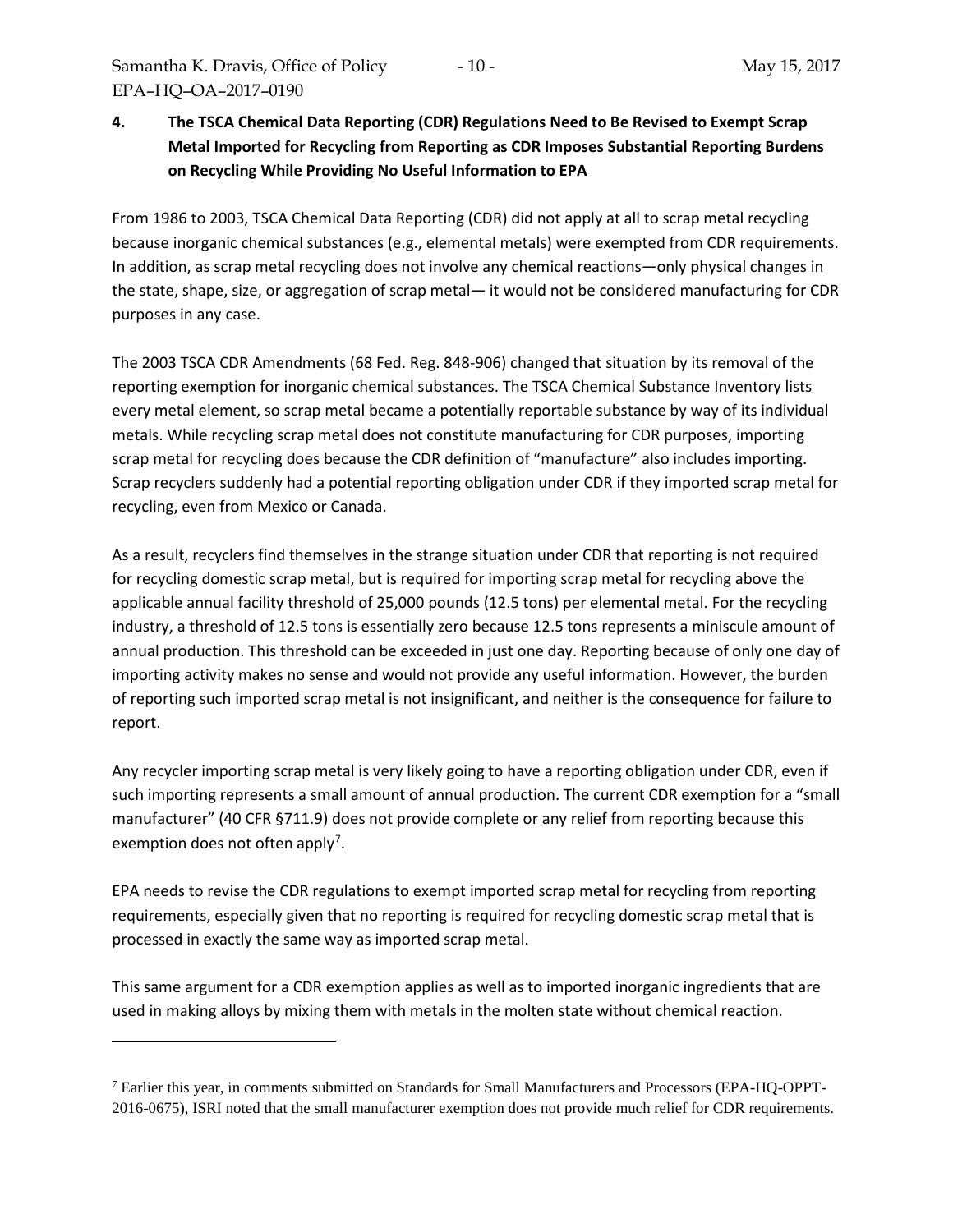$\overline{a}$ 

# **4. The TSCA Chemical Data Reporting (CDR) Regulations Need to Be Revised to Exempt Scrap Metal Imported for Recycling from Reporting as CDR Imposes Substantial Reporting Burdens on Recycling While Providing No Useful Information to EPA**

From 1986 to 2003, TSCA Chemical Data Reporting (CDR) did not apply at all to scrap metal recycling because inorganic chemical substances (e.g., elemental metals) were exempted from CDR requirements. In addition, as scrap metal recycling does not involve any chemical reactions—only physical changes in the state, shape, size, or aggregation of scrap metal— it would not be considered manufacturing for CDR purposes in any case.

The 2003 TSCA CDR Amendments (68 Fed. Reg. 848-906) changed that situation by its removal of the reporting exemption for inorganic chemical substances. The TSCA Chemical Substance Inventory lists every metal element, so scrap metal became a potentially reportable substance by way of its individual metals. While recycling scrap metal does not constitute manufacturing for CDR purposes, importing scrap metal for recycling does because the CDR definition of "manufacture" also includes importing. Scrap recyclers suddenly had a potential reporting obligation under CDR if they imported scrap metal for recycling, even from Mexico or Canada.

As a result, recyclers find themselves in the strange situation under CDR that reporting is not required for recycling domestic scrap metal, but is required for importing scrap metal for recycling above the applicable annual facility threshold of 25,000 pounds (12.5 tons) per elemental metal. For the recycling industry, a threshold of 12.5 tons is essentially zero because 12.5 tons represents a miniscule amount of annual production. This threshold can be exceeded in just one day. Reporting because of only one day of importing activity makes no sense and would not provide any useful information. However, the burden of reporting such imported scrap metal is not insignificant, and neither is the consequence for failure to report.

Any recycler importing scrap metal is very likely going to have a reporting obligation under CDR, even if such importing represents a small amount of annual production. The current CDR exemption for a "small manufacturer" (40 CFR §711.9) does not provide complete or any relief from reporting because this exemption does not often apply<sup>[7](#page-9-0)</sup>.

EPA needs to revise the CDR regulations to exempt imported scrap metal for recycling from reporting requirements, especially given that no reporting is required for recycling domestic scrap metal that is processed in exactly the same way as imported scrap metal.

This same argument for a CDR exemption applies as well as to imported inorganic ingredients that are used in making alloys by mixing them with metals in the molten state without chemical reaction.

<span id="page-9-0"></span><sup>7</sup> Earlier this year, in comments submitted on Standards for Small Manufacturers and Processors (EPA-HQ-OPPT-2016-0675), ISRI noted that the small manufacturer exemption does not provide much relief for CDR requirements.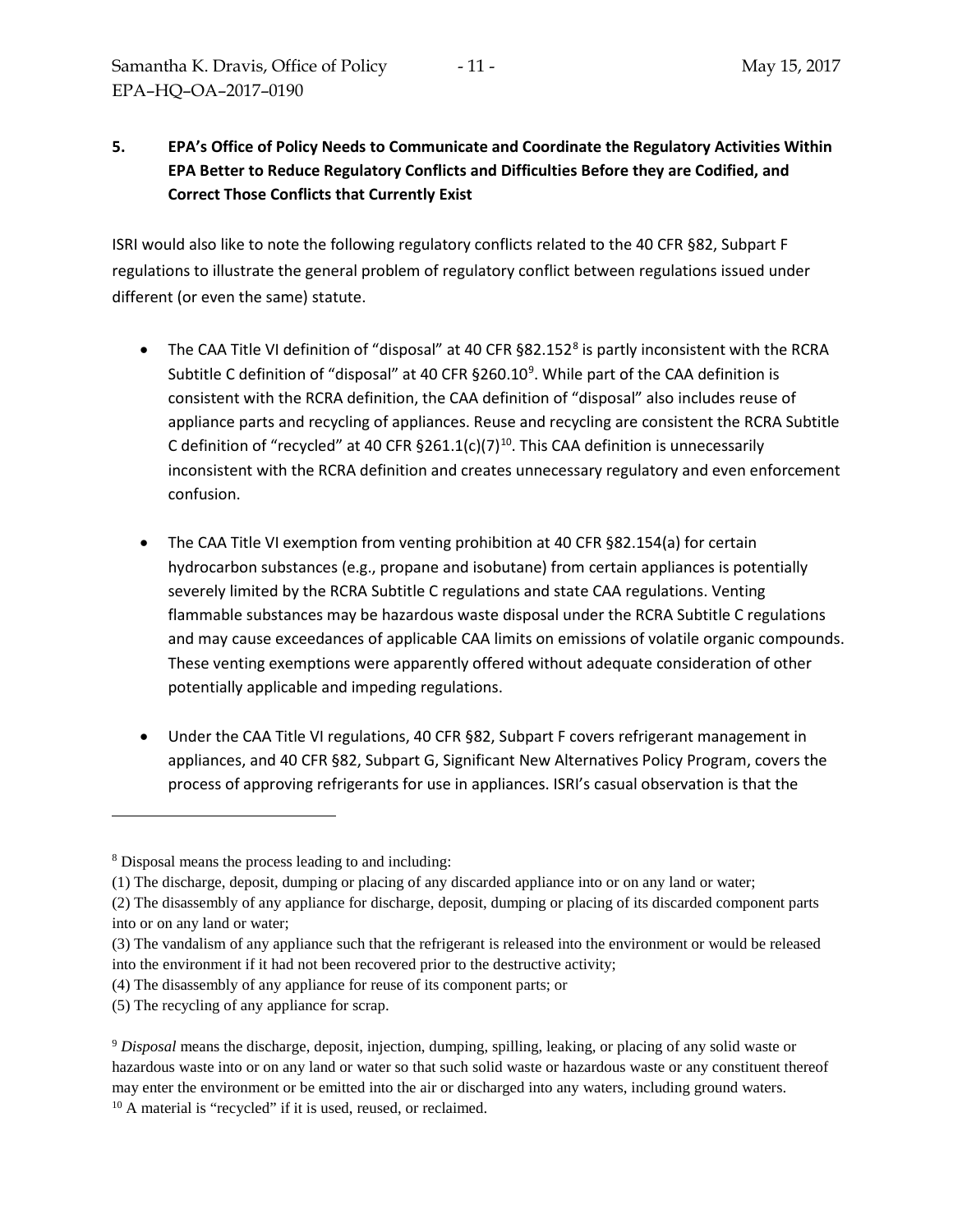# **5. EPA's Office of Policy Needs to Communicate and Coordinate the Regulatory Activities Within EPA Better to Reduce Regulatory Conflicts and Difficulties Before they are Codified, and Correct Those Conflicts that Currently Exist**

ISRI would also like to note the following regulatory conflicts related to the 40 CFR §82, Subpart F regulations to illustrate the general problem of regulatory conflict between regulations issued under different (or even the same) statute.

- The CAA Title VI definition of "disposal" at 40 CFR §[8](#page-10-0)2.152<sup>8</sup> is partly inconsistent with the RCRA Subtitle C definition of "disposal" at 40 CFR  $\S 260.10^9$  $\S 260.10^9$ . While part of the CAA definition is consistent with the RCRA definition, the CAA definition of "disposal" also includes reuse of appliance parts and recycling of appliances. Reuse and recycling are consistent the RCRA Subtitle C definition of "recycled" at 40 CFR  $\S 261.1(c)(7)^{10}$ . This CAA definition is unnecessarily inconsistent with the RCRA definition and creates unnecessary regulatory and even enforcement confusion.
- The CAA Title VI exemption from venting prohibition at 40 CFR §82.154(a) for certain hydrocarbon substances (e.g., propane and isobutane) from certain appliances is potentially severely limited by the RCRA Subtitle C regulations and state CAA regulations. Venting flammable substances may be hazardous waste disposal under the RCRA Subtitle C regulations and may cause exceedances of applicable CAA limits on emissions of volatile organic compounds. These venting exemptions were apparently offered without adequate consideration of other potentially applicable and impeding regulations.
- Under the CAA Title VI regulations, 40 CFR §82, Subpart F covers refrigerant management in appliances, and 40 CFR §82, Subpart G, Significant New Alternatives Policy Program, covers the process of approving refrigerants for use in appliances. ISRI's casual observation is that the

 $\overline{a}$ 

<span id="page-10-0"></span><sup>8</sup> Disposal means the process leading to and including:

<sup>(1)</sup> The discharge, deposit, dumping or placing of any discarded appliance into or on any land or water;

<sup>(2)</sup> The disassembly of any appliance for discharge, deposit, dumping or placing of its discarded component parts into or on any land or water;

<sup>(3)</sup> The vandalism of any appliance such that the refrigerant is released into the environment or would be released into the environment if it had not been recovered prior to the destructive activity;

<sup>(4)</sup> The disassembly of any appliance for reuse of its component parts; or

<sup>(5)</sup> The recycling of any appliance for scrap.

<span id="page-10-1"></span><sup>9</sup> *Disposal* means the discharge, deposit, injection, dumping, spilling, leaking, or placing of any solid waste or hazardous waste into or on any land or water so that such solid waste or hazardous waste or any constituent thereof may enter the environment or be emitted into the air or discharged into any waters, including ground waters.

<span id="page-10-2"></span><sup>&</sup>lt;sup>10</sup> A material is "recycled" if it is used, reused, or reclaimed.